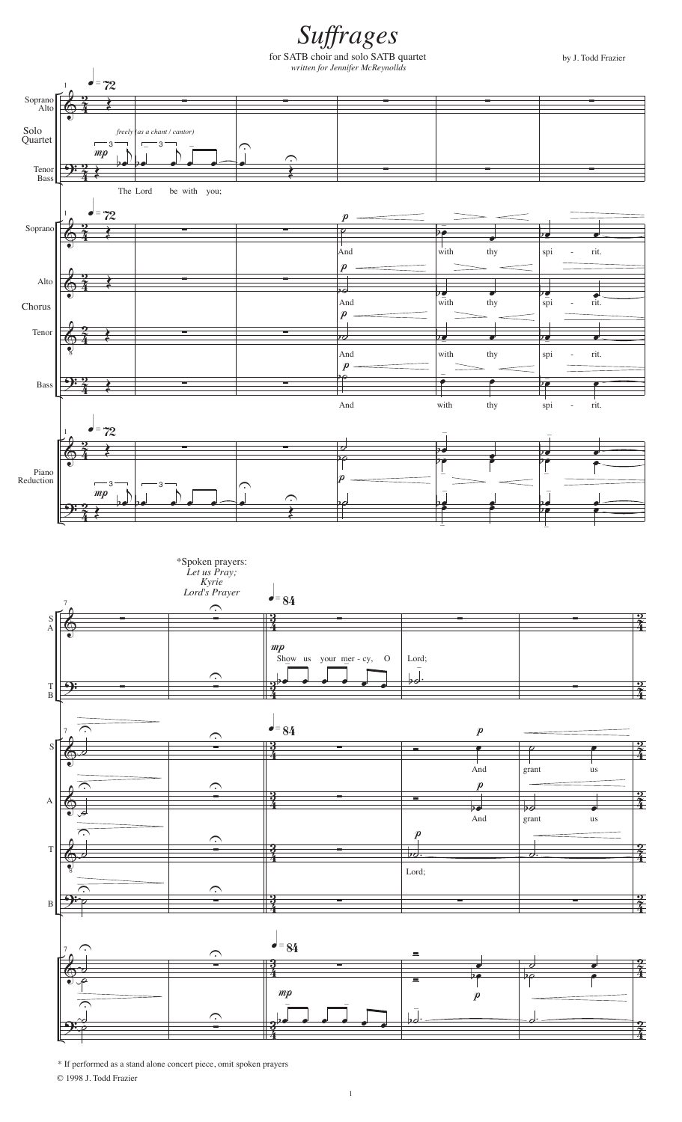*Suffrages* for SATB choir and solo SATB quartet by J. Todd Frazier



1

© 1998 J. Todd Frazier \* If performed as a stand alone concert piece, omit spoken prayers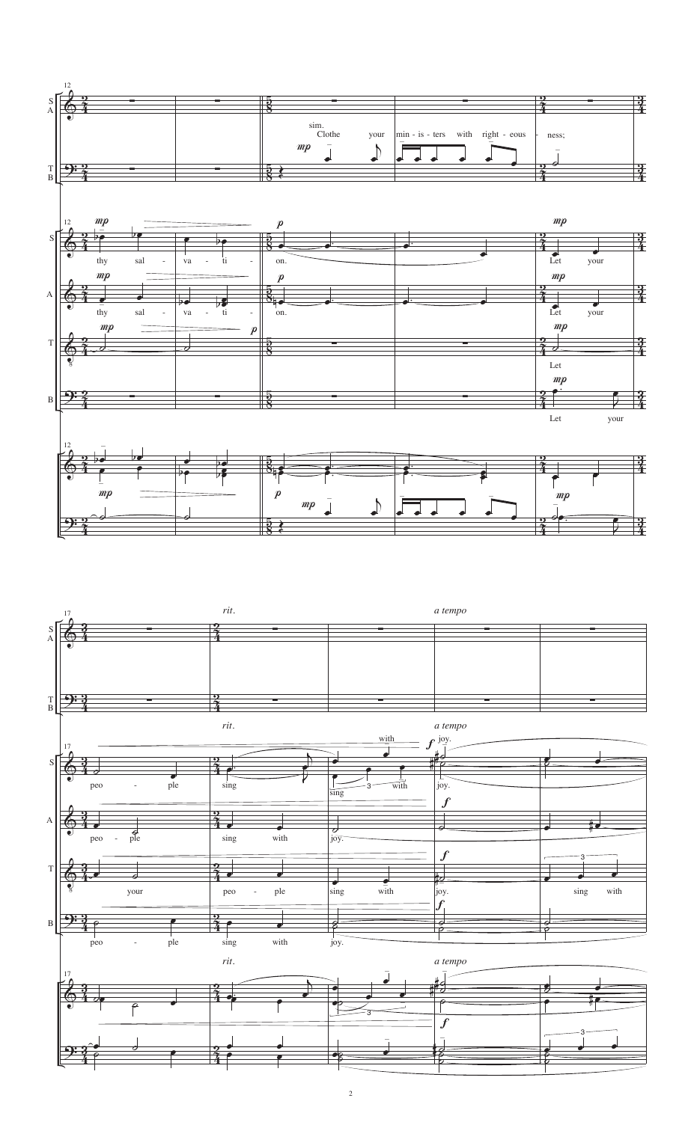

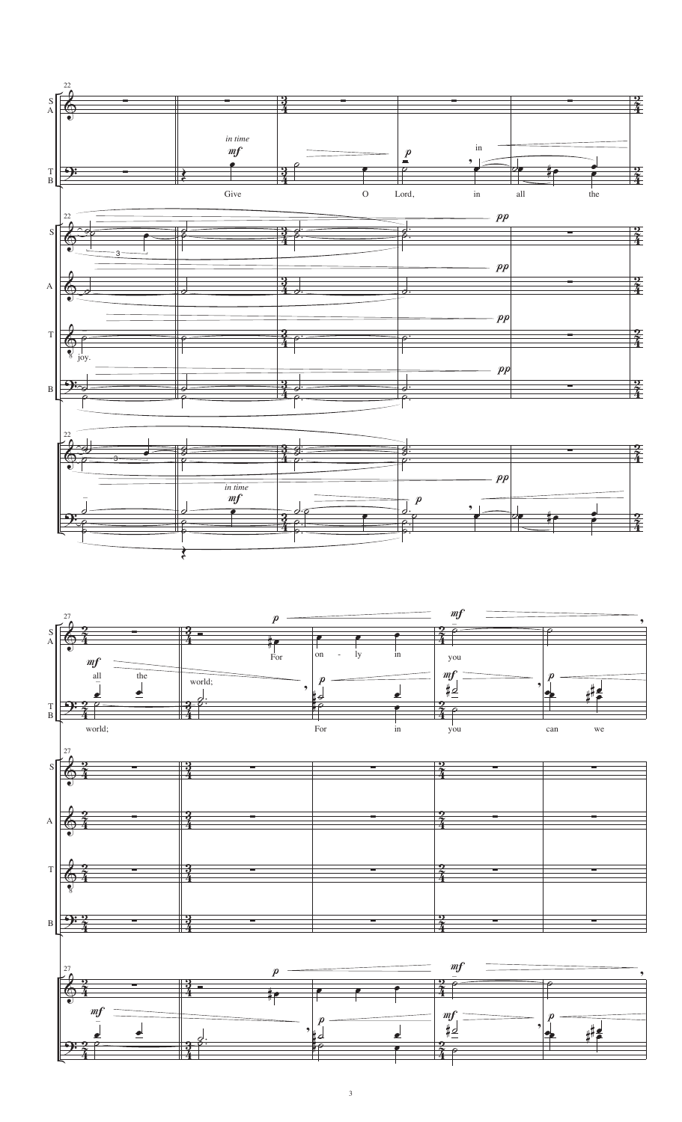



3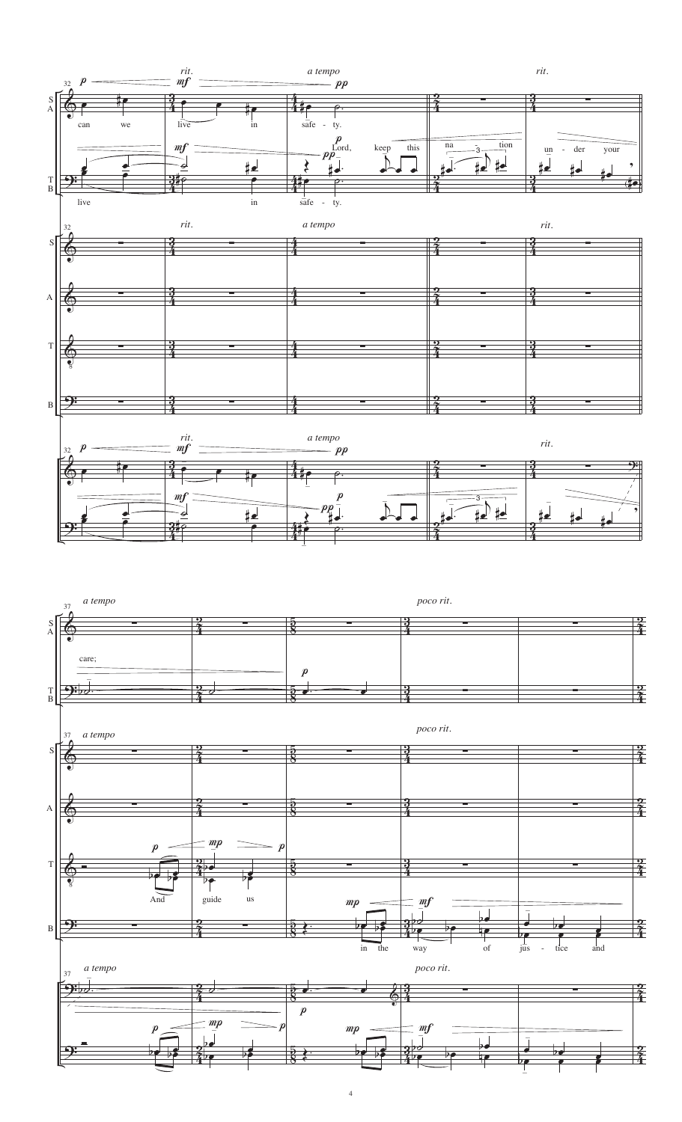

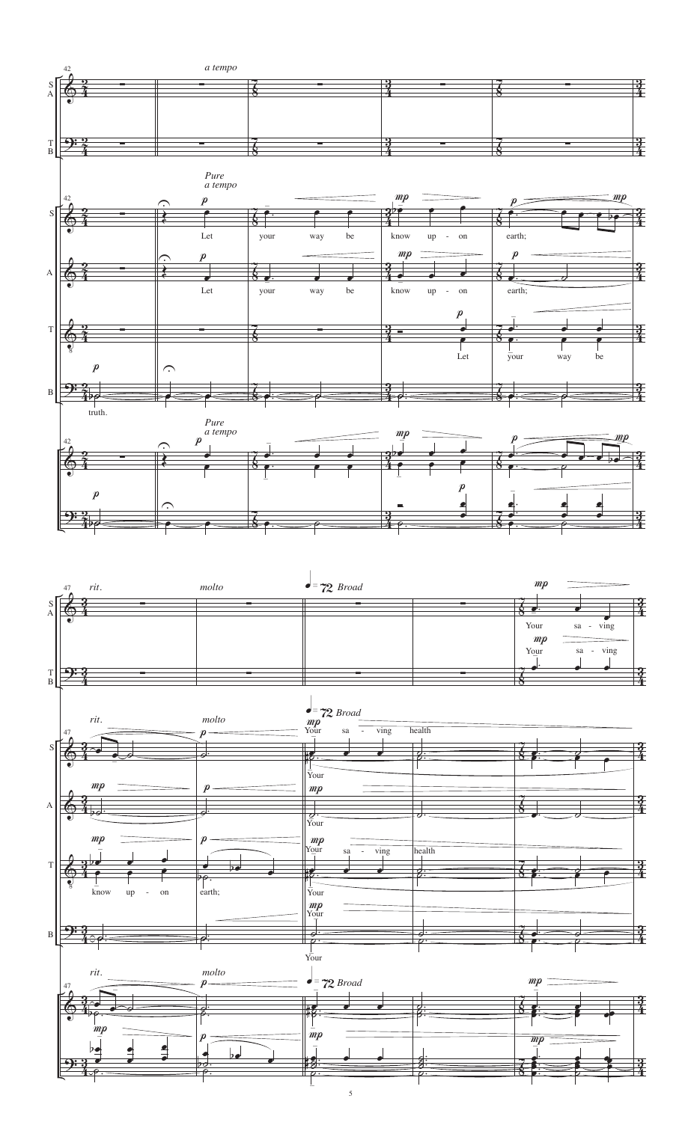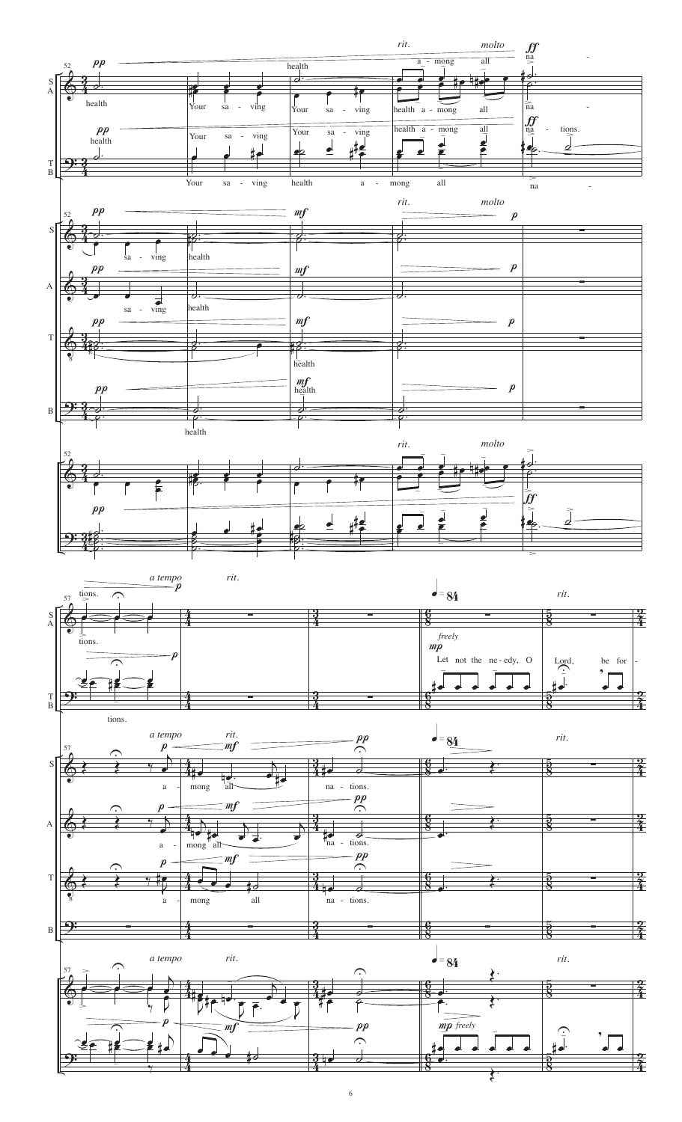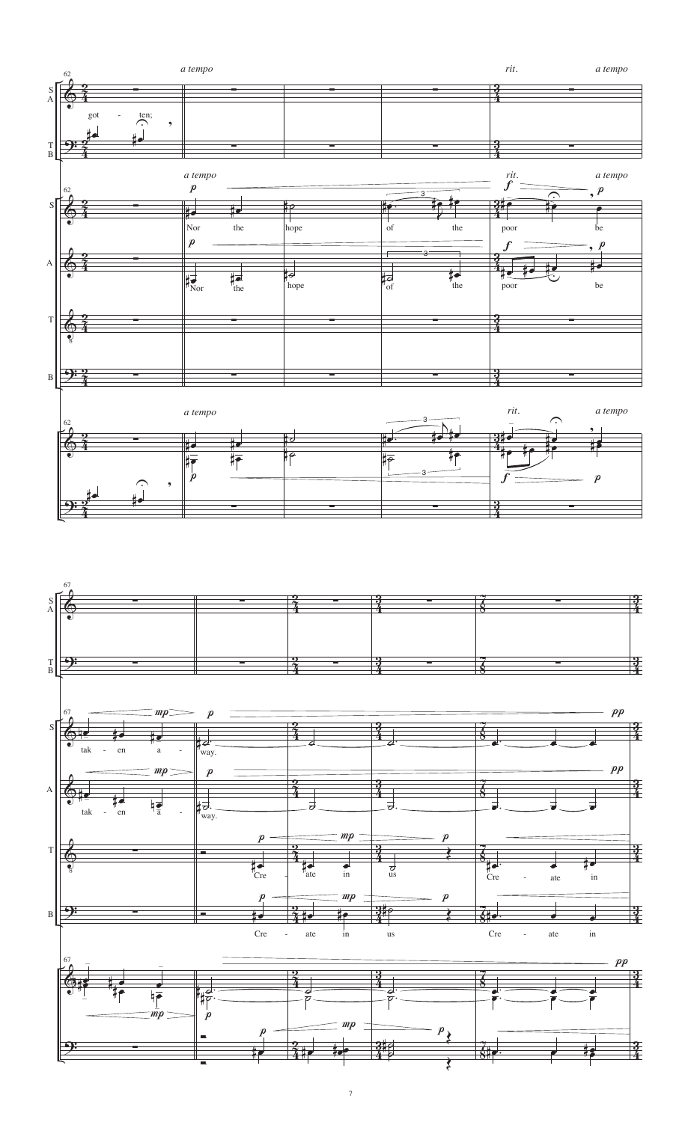

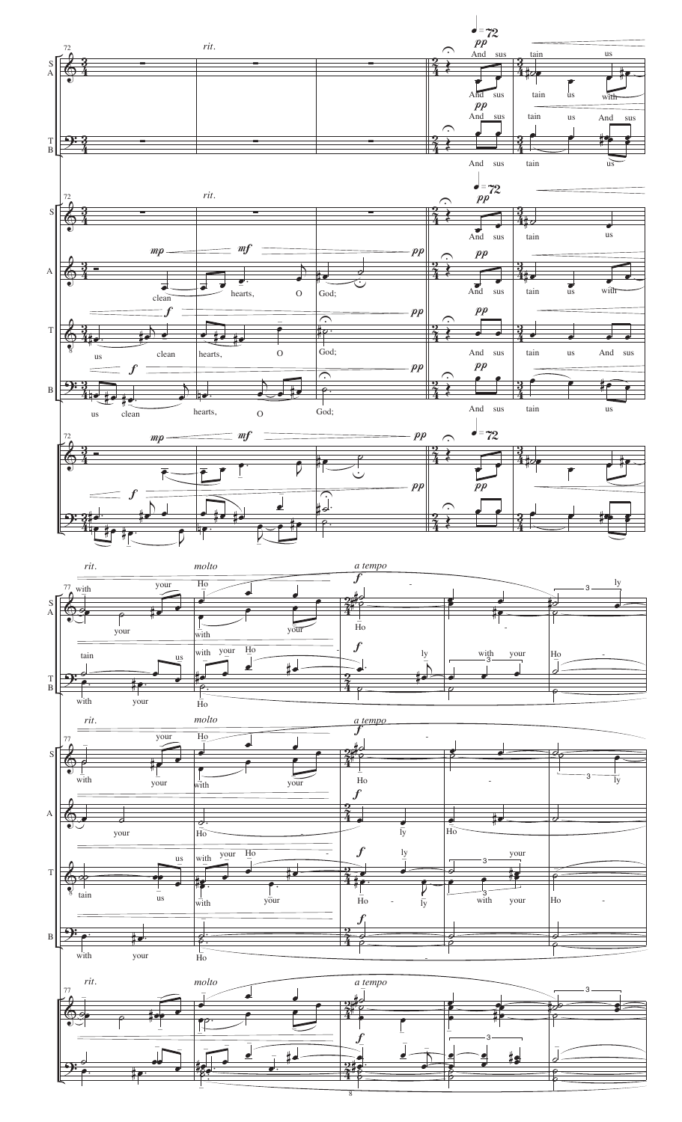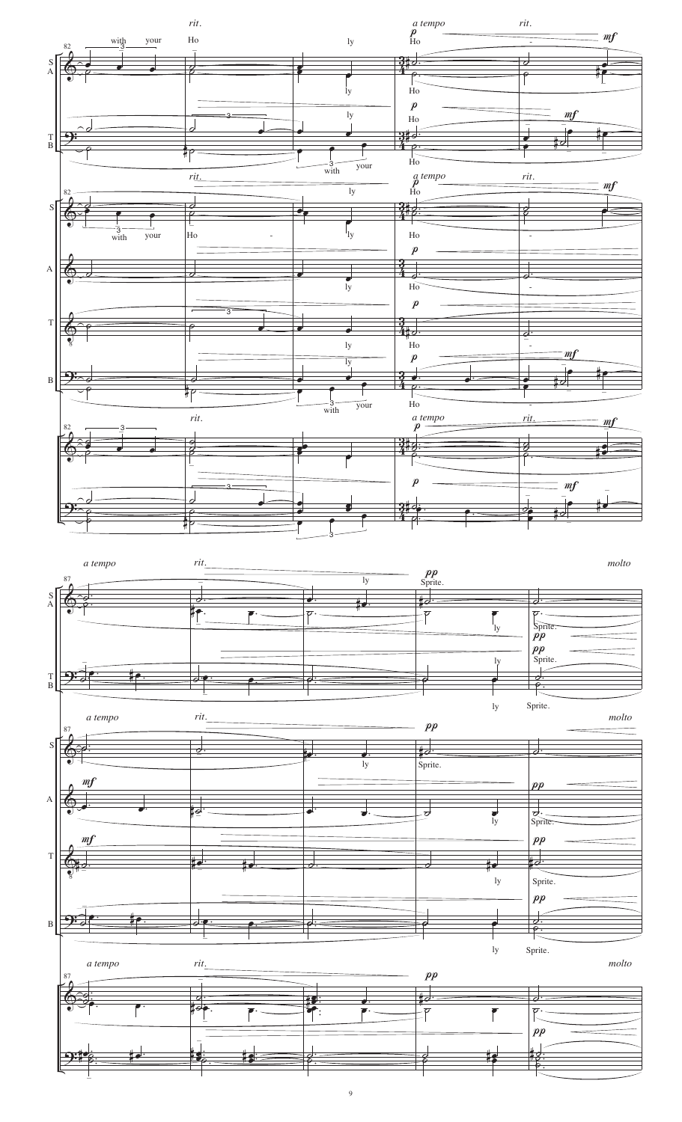